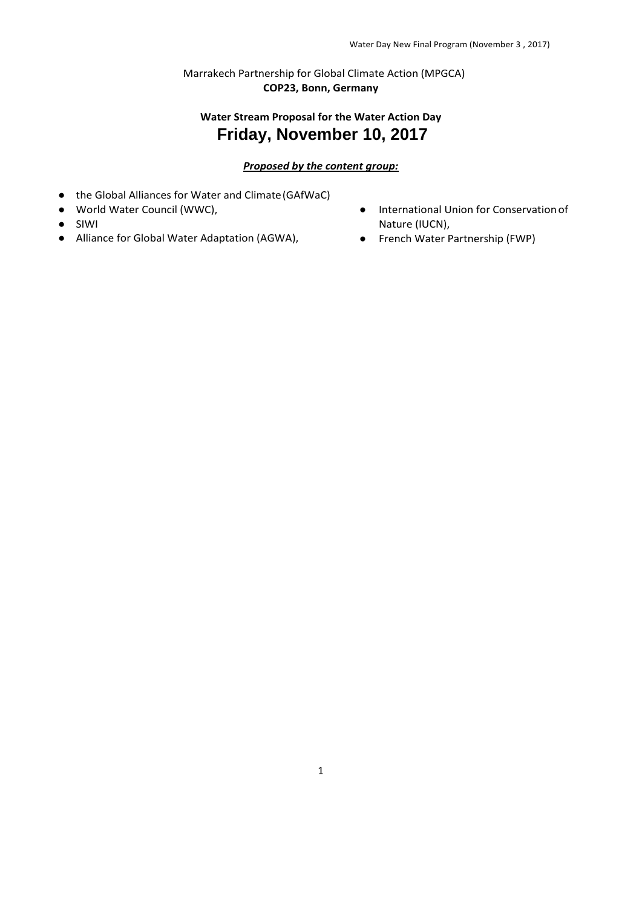Marrakech Partnership for Global Climate Action (MPGCA) **COP23, Bonn, Germany**

# **Water Stream Proposal for the Water Action Day Friday, November 10, 2017**

#### *Proposed by the content group:*

- the Global Alliances for Water and Climate(GAfWaC)
- World Water Council (WWC),
- SIWI
- Alliance for Global Water Adaptation (AGWA),
- International Union for Conservationof Nature (IUCN),
- French Water Partnership (FWP)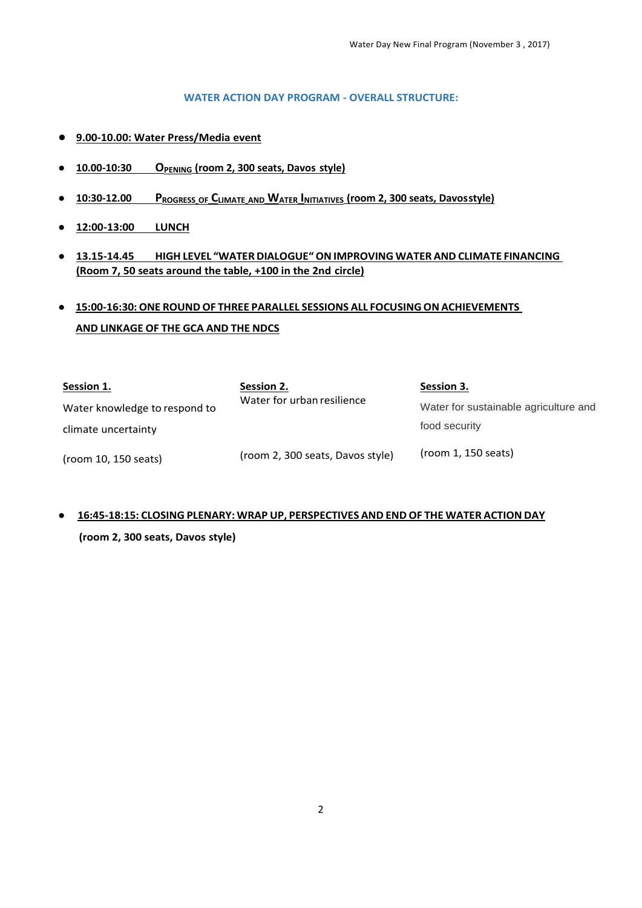#### **WATER ACTION DAY PROGRAM - OVERALL STRUCTURE:**

- **9.00-10.00: Water Press/Media event**
- **10.00-10:30 OPENING (room 2, 300 seats, Davos style)**
- **10:30-12.00 PROGRESS OF CLIMATE AND WATER INITIATIVES (room 2, 300 seats, Davosstyle)**
- **12:00-13:00 LUNCH**
- **13.15-14.45 HIGH LEVEL "WATER DIALOGUE"ONIMPROVING WATER AND CLIMATE FINANCING (Room 7, 50 seats around the table, +100 in the 2nd circle)**
- **15:00-16:30:ONE ROUND OF THREE PARALLEL SESSIONS ALL FOCUSINGON ACHIEVEMENTS AND LINKAGE OF THE GCA AND THE NDCS**

| Session 1.                    | Session 2.                       | Session 3.                            |
|-------------------------------|----------------------------------|---------------------------------------|
| Water knowledge to respond to | Water for urban resilience       | Water for sustainable agriculture and |
| climate uncertainty           |                                  | food security                         |
| (room 10, 150 seats)          | (room 2, 300 seats, Davos style) | (room 1, 150 seats)                   |

# ● **16:45-18:15: CLOSING PLENARY: WRAP UP, PERSPECTIVES AND END OF THE WATER ACTION DAY**

**(room 2, 300 seats, Davos style)**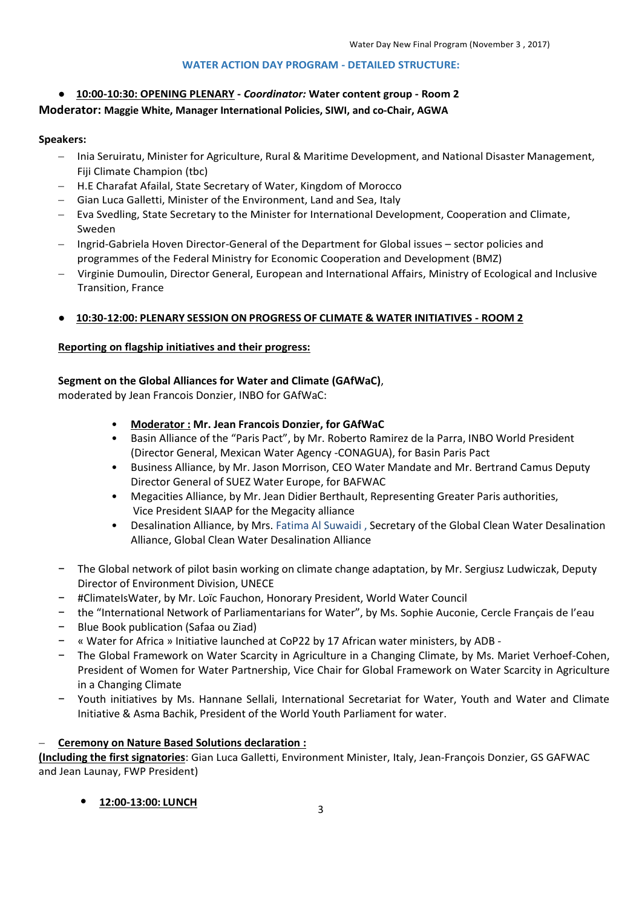#### **WATER ACTION DAY PROGRAM - DETAILED STRUCTURE:**

## ● **10:00-10:30: OPENING PLENARY -** *Coordinator:* **Water content group - Room 2**

## **Moderator: Maggie White, Manager International Policies, SIWI, and co-Chair, AGWA**

#### **Speakers:**

- Inia Seruiratu, Minister for Agriculture, Rural & Maritime Development, and National Disaster Management, Fiji Climate Champion (tbc)
- H.E Charafat Afailal, State Secretary of Water, Kingdom of Morocco
- Gian Luca Galletti, Minister of the Environment, Land and Sea, Italy
- Eva Svedling, State Secretary to the Minister for International Development, Cooperation and Climate, Sweden
- Ingrid-Gabriela Hoven Director-General of the Department for Global issues sector policies and programmes of the Federal Ministry for Economic Cooperation and Development (BMZ)
- Virginie Dumoulin, Director General, European and International Affairs, Ministry of Ecological and Inclusive Transition, France

## ● **10:30-12:00: PLENARY SESSION ON PROGRESS OF CLIMATE & WATER INITIATIVES - ROOM 2**

## **Reporting on flagship initiatives and their progress:**

## **Segment on the Global Alliances for Water and Climate (GAfWaC)**,

moderated by Jean Francois Donzier, INBO for GAfWaC:

## • **Moderator : Mr. Jean Francois Donzier, for GAfWaC**

- Basin Alliance of the "Paris Pact", by Mr. Roberto Ramirez de la Parra, INBO World President (Director General, Mexican Water Agency -CONAGUA), for Basin Paris Pact
- Business Alliance, by Mr. Jason Morrison, CEO Water Mandate and Mr. Bertrand Camus Deputy Director General of SUEZ Water Europe, for BAFWAC
- Megacities Alliance, by Mr. Jean Didier Berthault, Representing Greater Paris authorities, Vice President SIAAP for the Megacity alliance
- Desalination Alliance, by Mrs. Fatima Al Suwaidi , Secretary of the Global Clean Water Desalination Alliance, Global Clean Water Desalination Alliance
- − The Global network of pilot basin working on climate change adaptation, by Mr. Sergiusz Ludwiczak, Deputy Director of Environment Division, UNECE
- − #ClimateIsWater, by Mr. Loïc Fauchon, Honorary President, World Water Council
- − the "International Network of Parliamentarians for Water", by Ms. Sophie Auconie, Cercle Français de l'eau
- − Blue Book publication (Safaa ou Ziad)
- − « Water for Africa » Initiative launched at CoP22 by 17 African water ministers, by ADB -
- − The Global Framework on Water Scarcity in Agriculture in a Changing Climate, by Ms. Mariet Verhoef-Cohen, President of Women for Water Partnership, Vice Chair for Global Framework on Water Scarcity in Agriculture in a Changing Climate
- − Youth initiatives by Ms. Hannane Sellali, International Secretariat for Water, Youth and Water and Climate Initiative & Asma Bachik, President of the World Youth Parliament for water.

## **Ceremony on Nature Based Solutions declaration :**

**(Including the first signatories**: Gian Luca Galletti, Environment Minister, Italy, Jean-François Donzier, GS GAFWAC and Jean Launay, FWP President)

## • **12:00-13:00: LUNCH**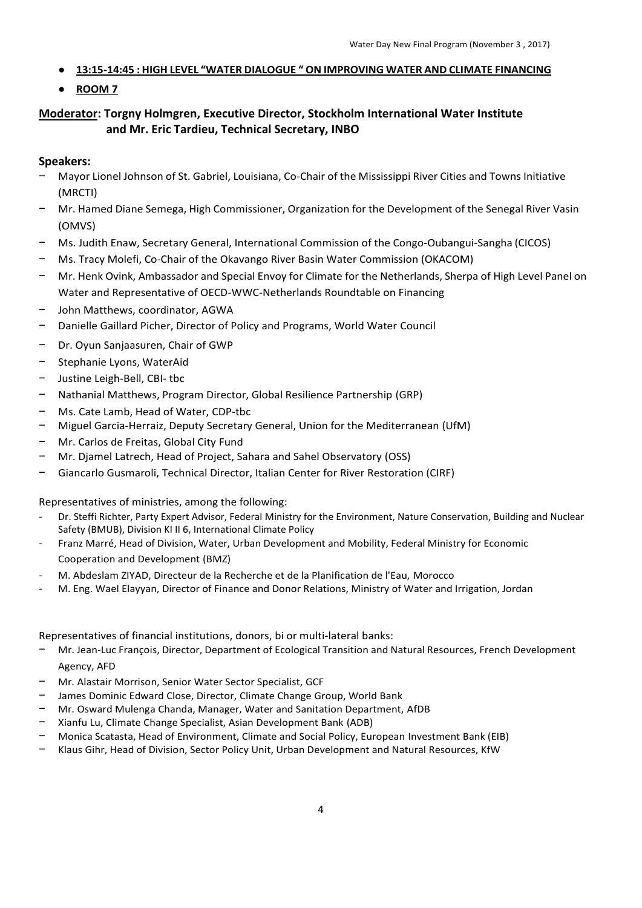- **13:15-14:45 : HIGH LEVEL "WATER DIALOGUE " ON IMPROVING WATER AND CLIMATE FINANCING**
- **ROOM 7**

## **Moderator: Torgny Holmgren, Executive Director, Stockholm International Water Institute and Mr. Eric Tardieu, Technical Secretary, INBO**

## **Speakers:**

- − Mayor Lionel Johnson of St. Gabriel, Louisiana, Co-Chair of the Mississippi River Cities and Towns Initiative (MRCTI)
- − Mr. Hamed Diane Semega, High Commissioner, Organization for the Development of the Senegal River Vasin (OMVS)
- − Ms. Judith Enaw, Secretary General, International Commission of the Congo-Oubangui-Sangha (CICOS)
- − Ms. Tracy Molefi, Co-Chair of the Okavango River Basin Water Commission (OKACOM)
- − Mr. Henk Ovink, Ambassador and Special Envoy for Climate for the Netherlands, Sherpa of High Level Panel on Water and Representative of OECD-WWC-Netherlands Roundtable on Financing
- − John Matthews, coordinator, AGWA
- − Danielle Gaillard Picher, Director of Policy and Programs, World Water Council
- − Dr. Oyun Sanjaasuren, Chair of GWP
- − Stephanie Lyons, WaterAid
- − Justine Leigh-Bell, CBI- tbc
- − Nathanial Matthews, Program Director, Global Resilience Partnership (GRP)
- − Ms. Cate Lamb, Head of Water, CDP-tbc
- − Miguel Garcia-Herraiz, Deputy Secretary General, Union for the Mediterranean (UfM)
- − Mr. Carlos de Freitas, Global City Fund
- − Mr. Djamel Latrech, Head of Project, Sahara and Sahel Observatory (OSS)
- − Giancarlo Gusmaroli, Technical Director, Italian Center for River Restoration (CIRF)

Representatives of ministries, among the following:

- Dr. Steffi Richter, Party Expert Advisor, Federal Ministry for the Environment, Nature Conservation, Building and Nuclear Safety (BMUB), Division KI II 6, International Climate Policy
- Franz Marré, Head of Division, Water, Urban Development and Mobility, Federal Ministry for Economic Cooperation and Development (BMZ)
- M. Abdeslam ZIYAD, Directeur de la Recherche et de la Planification de l'Eau, Morocco
- M. Eng. Wael Elayyan, Director of Finance and Donor Relations, Ministry of Water and Irrigation, Jordan

Representatives of financial institutions, donors, bi or multi-lateral banks:

- − Mr. Jean-Luc François, Director, Department of Ecological Transition and Natural Resources, French Development Agency, AFD
- − Mr. Alastair Morrison, Senior Water Sector Specialist, GCF
- James Dominic Edward Close, Director, Climate Change Group, World Bank
- − Mr. Osward Mulenga Chanda, Manager, Water and Sanitation Department, AfDB
- − Xianfu Lu, Climate Change Specialist, Asian Development Bank (ADB)
- − Monica Scatasta, Head of Environment, Climate and Social Policy, European Investment Bank (EIB)
- − Klaus Gihr, Head of Division, Sector Policy Unit, Urban Development and Natural Resources, KfW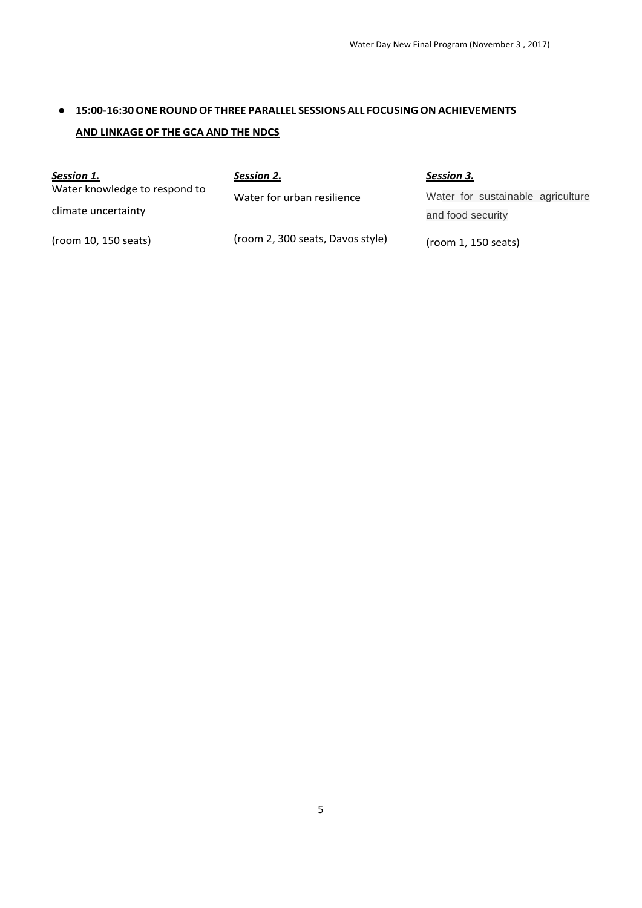# ● **15:00-16:30ONE ROUNDOF THREE PARALLEL SESSIONS ALL FOCUSINGON ACHIEVEMENTS AND LINKAGE OF THE GCA AND THE NDCS**

| Session 1.                    | Session 2.                       | Session 3.                        |
|-------------------------------|----------------------------------|-----------------------------------|
| Water knowledge to respond to | Water for urban resilience       | Water for sustainable agriculture |
| climate uncertainty           |                                  | and food security                 |
| (room 10, 150 seats)          | (room 2, 300 seats, Davos style) | (room 1, 150 seats)               |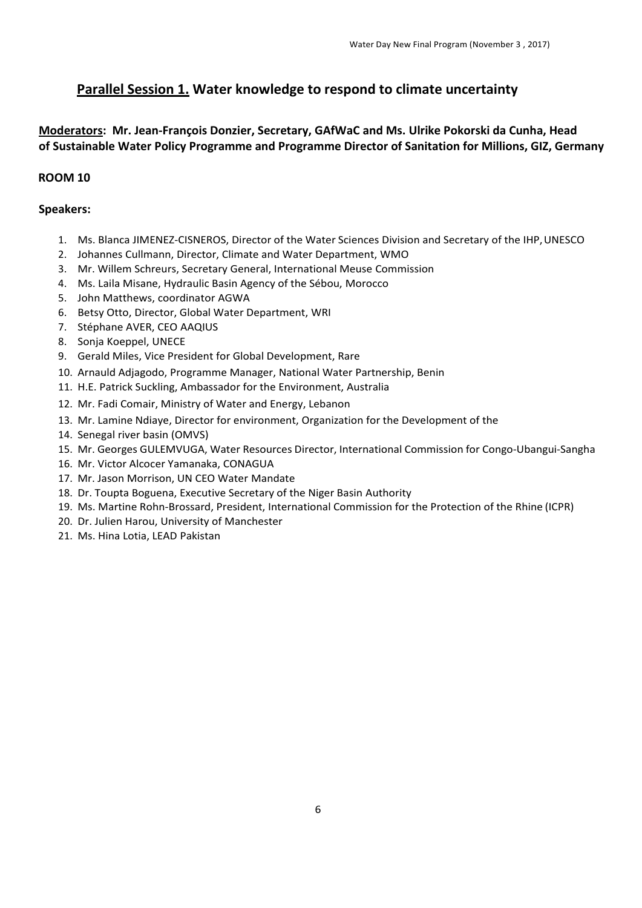# **Parallel Session 1. Water knowledge to respond to climate uncertainty**

## **Moderators: Mr. Jean-François Donzier, Secretary, GAfWaC and Ms. Ulrike Pokorski da Cunha, Head of Sustainable Water Policy Programme and Programme Director of Sanitation for Millions, GIZ, Germany**

## **ROOM 10**

## **Speakers:**

- 1. Ms. Blanca JIMENEZ-CISNEROS, Director of the Water Sciences Division and Secretary of the IHP,UNESCO
- 2. Johannes Cullmann, Director, Climate and Water Department, WMO
- 3. Mr. Willem Schreurs, Secretary General, International Meuse Commission
- 4. Ms. Laila Misane, Hydraulic Basin Agency of the Sébou, Morocco
- 5. John Matthews, coordinator AGWA
- 6. Betsy Otto, Director, Global Water Department, WRI
- 7. Stéphane AVER, CEO AAQIUS
- 8. Sonja Koeppel, UNECE
- 9. Gerald Miles, Vice President for Global Development, Rare
- 10. Arnauld Adjagodo, Programme Manager, National Water Partnership, Benin
- 11. H.E. Patrick Suckling, Ambassador for the Environment, Australia
- 12. Mr. Fadi Comair, Ministry of Water and Energy, Lebanon
- 13. Mr. Lamine Ndiaye, Director for environment, Organization for the Development of the
- 14. Senegal river basin (OMVS)
- 15. Mr. Georges GULEMVUGA, Water Resources Director, International Commission for Congo-Ubangui-Sangha
- 16. Mr. Victor Alcocer Yamanaka, CONAGUA
- 17. Mr. Jason Morrison, UN CEO Water Mandate
- 18. Dr. Toupta Boguena, Executive Secretary of the Niger Basin Authority
- 19. Ms. Martine Rohn-Brossard, President, International Commission for the Protection of the Rhine (ICPR)
- 20. Dr. Julien Harou, University of Manchester
- 21. Ms. Hina Lotia, LEAD Pakistan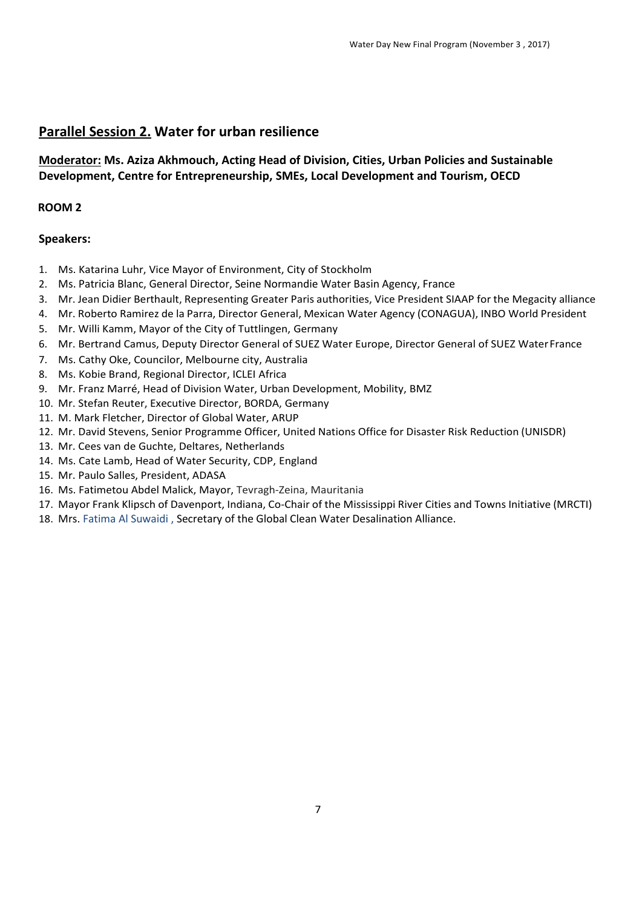# **Parallel Session 2. Water for urban resilience**

## **Moderator: Ms. Aziza Akhmouch, Acting Head of Division, Cities, Urban Policies and Sustainable Development, Centre for Entrepreneurship, SMEs, Local Development and Tourism, OECD**

## **ROOM 2**

## **Speakers:**

- 1. Ms. Katarina Luhr, Vice Mayor of Environment, City of Stockholm
- 2. Ms. Patricia Blanc, General Director, Seine Normandie Water Basin Agency, France
- 3. Mr. Jean Didier Berthault, Representing Greater Paris authorities, Vice President SIAAP for the Megacity alliance
- 4. Mr. Roberto Ramirez de la Parra, Director General, Mexican Water Agency (CONAGUA), INBO World President
- 5. Mr. Willi Kamm, Mayor of the City of Tuttlingen, Germany
- 6. Mr. Bertrand Camus, Deputy Director General of SUEZ Water Europe, Director General of SUEZ WaterFrance
- 7. Ms. Cathy Oke, Councilor, Melbourne city, Australia
- 8. Ms. Kobie Brand, Regional Director, ICLEI Africa
- 9. Mr. Franz Marré, Head of Division Water, Urban Development, Mobility, BMZ
- 10. Mr. Stefan Reuter, Executive Director, BORDA, Germany
- 11. M. Mark Fletcher, Director of Global Water, ARUP
- 12. Mr. David Stevens, Senior Programme Officer, United Nations Office for Disaster Risk Reduction (UNISDR)
- 13. Mr. Cees van de Guchte, Deltares, Netherlands
- 14. Ms. Cate Lamb, Head of Water Security, CDP, England
- 15. Mr. Paulo Salles, President, ADASA
- 16. Ms. Fatimetou Abdel Malick, Mayor, Tevragh-Zeina, Mauritania
- 17. Mayor Frank Klipsch of Davenport, Indiana, Co-Chair of the Mississippi River Cities and Towns Initiative (MRCTI)
- 18. Mrs. Fatima Al Suwaidi , Secretary of the Global Clean Water Desalination Alliance.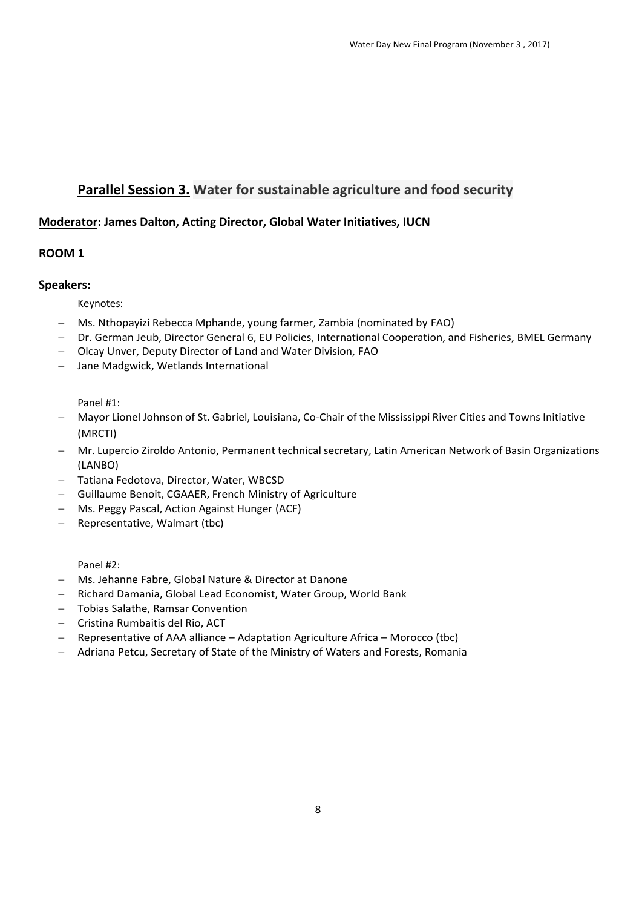# **Parallel Session 3. Water for sustainable agriculture and food security**

## **Moderator: James Dalton, Acting Director, Global Water Initiatives, IUCN**

## **ROOM 1**

#### **Speakers:**

Keynotes:

- Ms. Nthopayizi Rebecca Mphande, young farmer, Zambia (nominated by FAO)
- Dr. German Jeub, Director General 6, EU Policies, International Cooperation, and Fisheries, BMEL Germany
- Olcay Unver, Deputy Director of Land and Water Division, FAO
- Jane Madgwick, Wetlands International

Panel #1:

- Mayor Lionel Johnson of St. Gabriel, Louisiana, Co-Chair of the Mississippi River Cities and Towns Initiative (MRCTI)
- Mr. Lupercio Ziroldo Antonio, Permanent technical secretary, Latin American Network of Basin Organizations (LANBO)
- Tatiana Fedotova, Director, Water, WBCSD
- Guillaume Benoit, CGAAER, French Ministry of Agriculture
- Ms. Peggy Pascal, Action Against Hunger (ACF)
- $-$  Representative, Walmart (tbc)

Panel #2:

- Ms. Jehanne Fabre, Global Nature & Director at Danone
- Richard Damania, Global Lead Economist, Water Group, World Bank
- Tobias Salathe, Ramsar Convention
- Cristina Rumbaitis del Rio, ACT
- Representative of AAA alliance Adaptation Agriculture Africa Morocco (tbc)
- Adriana Petcu, Secretary of State of the Ministry of Waters and Forests, Romania